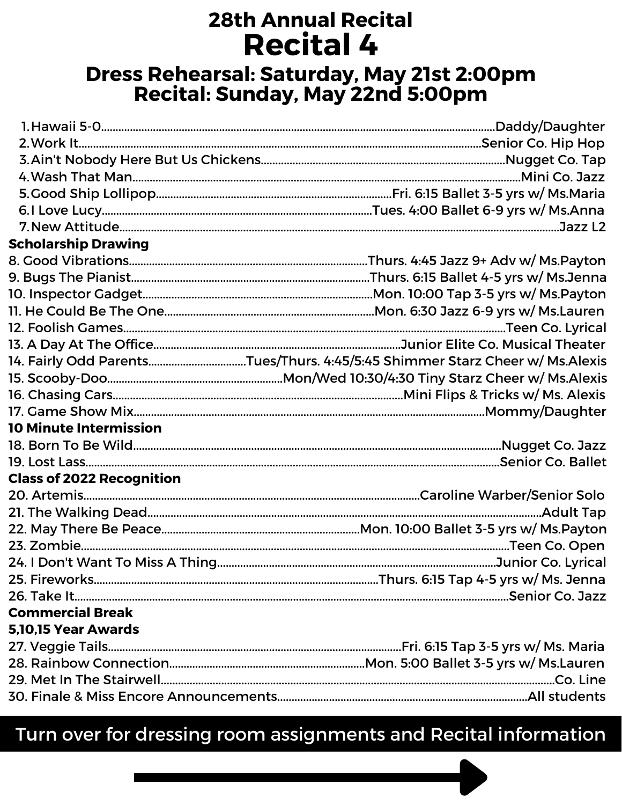# **28th Annual Recital Recital 4**

### Dress Rehearsal: Saturday, May 21st 2:00pm Recital: Sunday, May 22nd 5:00pm

| <b>Scholarship Drawing</b>       |                                                                              |
|----------------------------------|------------------------------------------------------------------------------|
|                                  |                                                                              |
|                                  |                                                                              |
|                                  |                                                                              |
|                                  |                                                                              |
|                                  |                                                                              |
|                                  |                                                                              |
|                                  | 14. Fairly Odd ParentsTues/Thurs. 4:45/5:45 Shimmer Starz Cheer w/ Ms.Alexis |
|                                  |                                                                              |
|                                  |                                                                              |
|                                  |                                                                              |
| <b>10 Minute Intermission</b>    |                                                                              |
|                                  |                                                                              |
|                                  |                                                                              |
| <b>Class of 2022 Recognition</b> |                                                                              |
|                                  |                                                                              |
|                                  |                                                                              |
|                                  |                                                                              |
|                                  |                                                                              |
|                                  |                                                                              |
|                                  |                                                                              |
|                                  |                                                                              |
| <b>Commercial Break</b>          |                                                                              |
| 5,10,15 Year Awards              |                                                                              |
|                                  |                                                                              |
|                                  |                                                                              |
|                                  |                                                                              |
|                                  |                                                                              |

### Turn over for dressing room assignments and Recital information